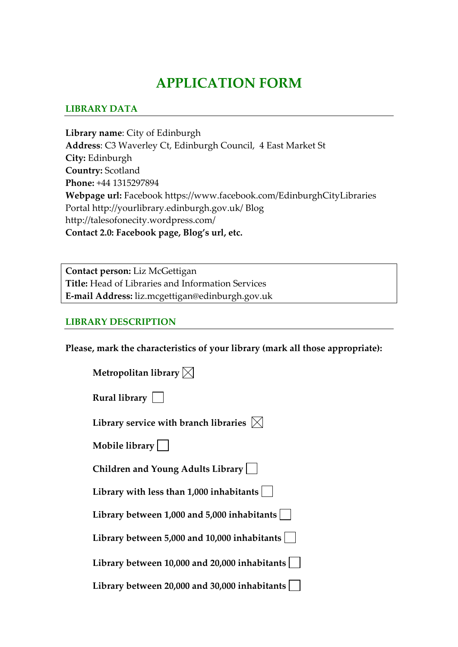# **APPLICATION FORM**

#### **LIBRARY DATA**

**Library name**: City of Edinburgh **Address**: C3 Waverley Ct, Edinburgh Council, 4 East Market St **City:** Edinburgh **Country:** Scotland **Phone:** +44 1315297894 **Webpage url:** Facebook https://www.facebook.com/EdinburghCityLibraries Portal http://yourlibrary.edinburgh.gov.uk/ Blog http://talesofonecity.wordpress.com/ **Contact 2.0: Facebook page, Blog's url, etc.**

**Contact person:** Liz McGettigan **Title:** Head of Libraries and Information Services **E‐mail Address:** liz.mcgettigan@edinburgh.gov.uk

#### **LIBRARY DESCRIPTION**

**Please, mark the characteristics of your library (mark all those appropriate):**

| Metropolitan library $\boxtimes$                  |
|---------------------------------------------------|
| Rural library $\vert \ \ \vert$                   |
| Library service with branch libraries $ \times $  |
| Mobile library                                    |
| Children and Young Adults Library                 |
| Library with less than $1,000$ inhabitants        |
| Library between 1,000 and 5,000 inhabitants       |
| Library between 5,000 and 10,000 inhabitants $ $  |
| Library between 10,000 and 20,000 inhabitants     |
| Library between 20,000 and 30,000 inhabitants $ $ |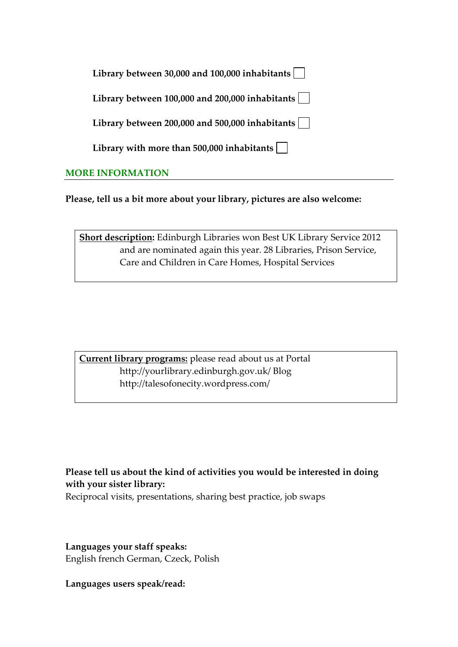| Library between 30,000 and 100,000 inhabitants       |  |
|------------------------------------------------------|--|
| Library between 100,000 and 200,000 inhabitants      |  |
| Library between 200,000 and 500,000 inhabitants      |  |
| Library with more than $500,000$ inhabitants $\vert$ |  |
| <b>MORE INFORMATION</b>                              |  |

**Please, tell us a bit more about your library, pictures are also welcome:** 

**Short description:** Edinburgh Libraries won Best UK Library Service 2012 and are nominated again this year. 28 Libraries, Prison Service, Care and Children in Care Homes, Hospital Services

**Current library programs:** please read about us at Portal http://yourlibrary.edinburgh.gov.uk/ Blog http://talesofonecity.wordpress.com/

**Please tell us about the kind of activities you would be interested in doing with your sister library:**

Reciprocal visits, presentations, sharing best practice, job swaps

**Languages your staff speaks:** English french German, Czeck, Polish

**Languages users speak/read:**